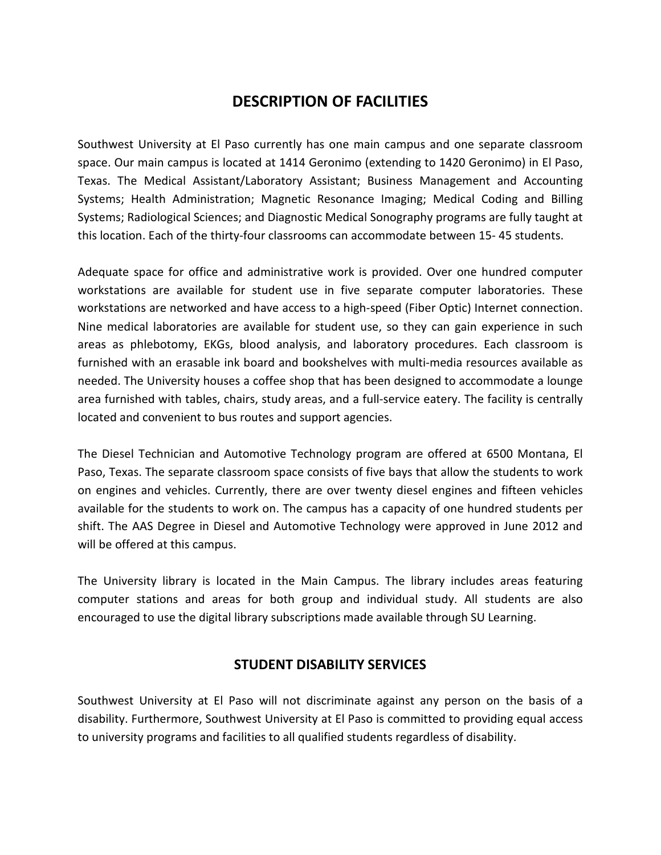# **DESCRIPTION OF FACILITIES**

Southwest University at El Paso currently has one main campus and one separate classroom space. Our main campus is located at 1414 Geronimo (extending to 1420 Geronimo) in El Paso, Texas. The Medical Assistant/Laboratory Assistant; Business Management and Accounting Systems; Health Administration; Magnetic Resonance Imaging; Medical Coding and Billing Systems; Radiological Sciences; and Diagnostic Medical Sonography programs are fully taught at this location. Each of the thirty-four classrooms can accommodate between 15- 45 students.

Adequate space for office and administrative work is provided. Over one hundred computer workstations are available for student use in five separate computer laboratories. These workstations are networked and have access to a high-speed (Fiber Optic) Internet connection. Nine medical laboratories are available for student use, so they can gain experience in such areas as phlebotomy, EKGs, blood analysis, and laboratory procedures. Each classroom is furnished with an erasable ink board and bookshelves with multi-media resources available as needed. The University houses a coffee shop that has been designed to accommodate a lounge area furnished with tables, chairs, study areas, and a full-service eatery. The facility is centrally located and convenient to bus routes and support agencies.

The Diesel Technician and Automotive Technology program are offered at 6500 Montana, El Paso, Texas. The separate classroom space consists of five bays that allow the students to work on engines and vehicles. Currently, there are over twenty diesel engines and fifteen vehicles available for the students to work on. The campus has a capacity of one hundred students per shift. The AAS Degree in Diesel and Automotive Technology were approved in June 2012 and will be offered at this campus.

The University library is located in the Main Campus. The library includes areas featuring computer stations and areas for both group and individual study. All students are also encouraged to use the digital library subscriptions made available through SU Learning.

## **STUDENT DISABILITY SERVICES**

Southwest University at El Paso will not discriminate against any person on the basis of a disability. Furthermore, Southwest University at El Paso is committed to providing equal access to university programs and facilities to all qualified students regardless of disability.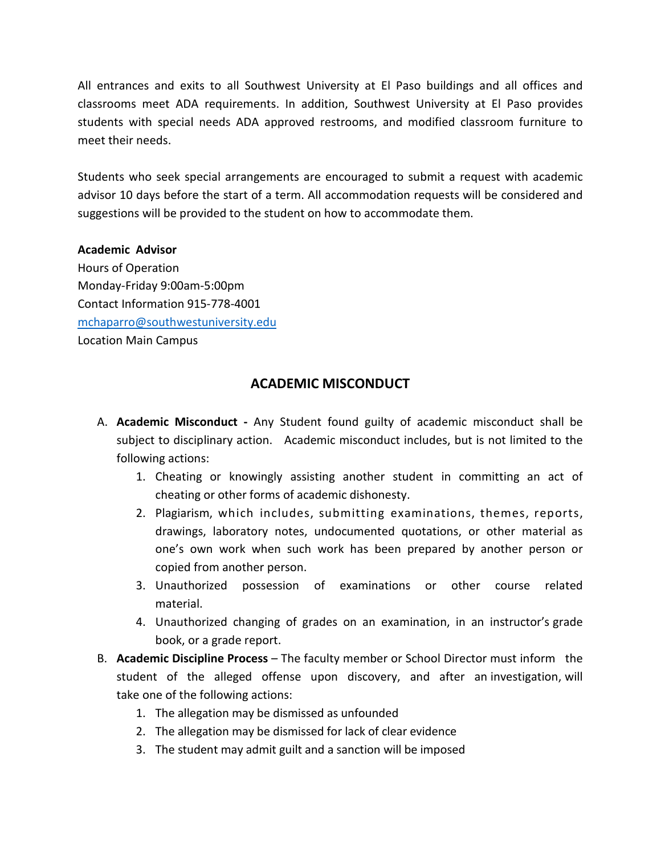All entrances and exits to all Southwest University at El Paso buildings and all offices and classrooms meet ADA requirements. In addition, Southwest University at El Paso provides students with special needs ADA approved restrooms, and modified classroom furniture to meet their needs.

Students who seek special arrangements are encouraged to submit a request with academic advisor 10 days before the start of a term. All accommodation requests will be considered and suggestions will be provided to the student on how to accommodate them.

#### **Academic Advisor**

Hours of Operation Monday-Friday 9:00am-5:00pm Contact Information 915-778-4001 [mchaparro@southwestuniversity.edu](mailto:mchaparro@southwestuniversity.edu) Location Main Campus

## **ACADEMIC MISCONDUCT**

- A. **Academic Misconduct -** Any Student found guilty of academic misconduct shall be subject to disciplinary action. Academic misconduct includes, but is not limited to the following actions:
	- 1. Cheating or knowingly assisting another student in committing an act of cheating or other forms of academic dishonesty.
	- 2. Plagiarism, which includes, submitting examinations, themes, reports, drawings, laboratory notes, undocumented quotations, or other material as one's own work when such work has been prepared by another person or copied from another person.
	- 3. Unauthorized possession of examinations or other course related material.
	- 4. Unauthorized changing of grades on an examination, in an instructor's grade book, or a grade report.
- B. **Academic Discipline Process**  The faculty member or School Director must inform the student of the alleged offense upon discovery, and after an investigation, will take one of the following actions:
	- 1. The allegation may be dismissed as unfounded
	- 2. The allegation may be dismissed for lack of clear evidence
	- 3. The student may admit guilt and a sanction will be imposed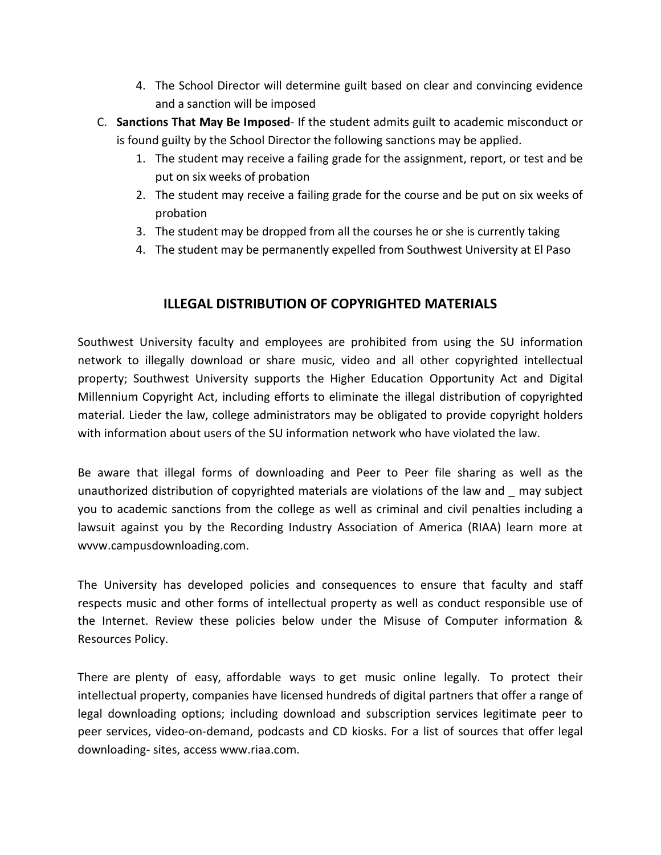- 4. The School Director will determine guilt based on clear and convincing evidence and a sanction will be imposed
- C. **Sanctions That May Be Imposed** If the student admits guilt to academic misconduct or is found guilty by the School Director the following sanctions may be applied.
	- 1. The student may receive a failing grade for the assignment, report, or test and be put on six weeks of probation
	- 2. The student may receive a failing grade for the course and be put on six weeks of probation
	- 3. The student may be dropped from all the courses he or she is currently taking
	- 4. The student may be permanently expelled from Southwest University at El Paso

## **ILLEGAL DISTRIBUTION OF COPYRIGHTED MATERIALS**

Southwest University faculty and employees are prohibited from using the SU information network to illegally download or share music, video and all other copyrighted intellectual property; Southwest University supports the Higher Education Opportunity Act and Digital Millennium Copyright Act, including efforts to eliminate the illegal distribution of copyrighted material. Lieder the law, college administrators may be obligated to provide copyright holders with information about users of the SU information network who have violated the law.

Be aware that illegal forms of downloading and Peer to Peer file sharing as well as the unauthorized distribution of copyrighted materials are violations of the law and \_ may subject you to academic sanctions from the college as well as criminal and civil penalties including a lawsuit against you by the Recording Industry Association of America (RIAA) learn more at wvvw.campusdownloading.com.

The University has developed policies and consequences to ensure that faculty and staff respects music and other forms of intellectual property as well as conduct responsible use of the Internet. Review these policies below under the Misuse of Computer information & Resources Policy.

There are plenty of easy, affordable ways to get music online legally. To protect their intellectual property, companies have licensed hundreds of digital partners that offer a range of legal downloading options; including download and subscription services legitimate peer to peer services, video-on-demand, podcasts and CD kiosks. For a list of sources that offer legal downloading- sites, [access www.riaa.com](http://www.riaa.com/).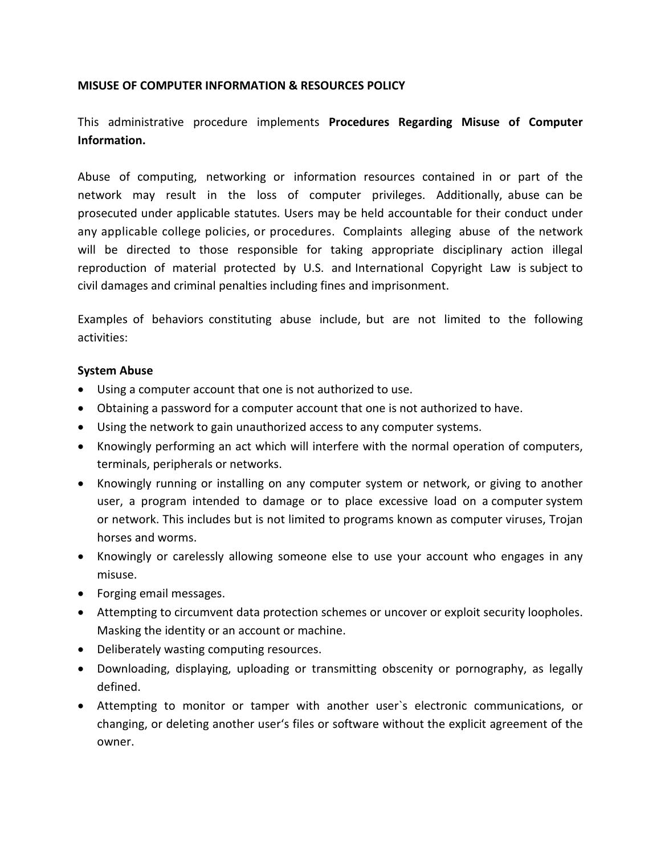#### **MISUSE OF COMPUTER INFORMATION & RESOURCES POLICY**

## This administrative procedure implements **Procedures Regarding Misuse of Computer Information.**

Abuse of computing, networking or information resources contained in or part of the network may result in the loss of computer privileges. Additionally, abuse can be prosecuted under applicable statutes. Users may be held accountable for their conduct under any applicable college policies, or procedures. Complaints alleging abuse of the network will be directed to those responsible for taking appropriate disciplinary action illegal reproduction of material protected by U.S. and International Copyright Law is subject to civil damages and criminal penalties including fines and imprisonment.

Examples of behaviors constituting abuse include, but are not limited to the following activities:

#### **System Abuse**

- Using a computer account that one is not authorized to use.
- Obtaining a password for a computer account that one is not authorized to have.
- Using the network to gain unauthorized access to any computer systems.
- Knowingly performing an act which will interfere with the normal operation of computers, terminals, peripherals or networks.
- Knowingly running or installing on any computer system or network, or giving to another user, a program intended to damage or to place excessive load on a computer system or network. This includes but is not limited to programs known as computer viruses, Trojan horses and worms.
- Knowingly or carelessly allowing someone else to use your account who engages in any misuse.
- Forging email messages.
- Attempting to circumvent data protection schemes or uncover or exploit security loopholes. Masking the identity or an account or machine.
- Deliberately wasting computing resources.
- Downloading, displaying, uploading or transmitting obscenity or pornography, as legally defined.
- Attempting to monitor or tamper with another user`s electronic communications, or changing, or deleting another user's files or software without the explicit agreement of the owner.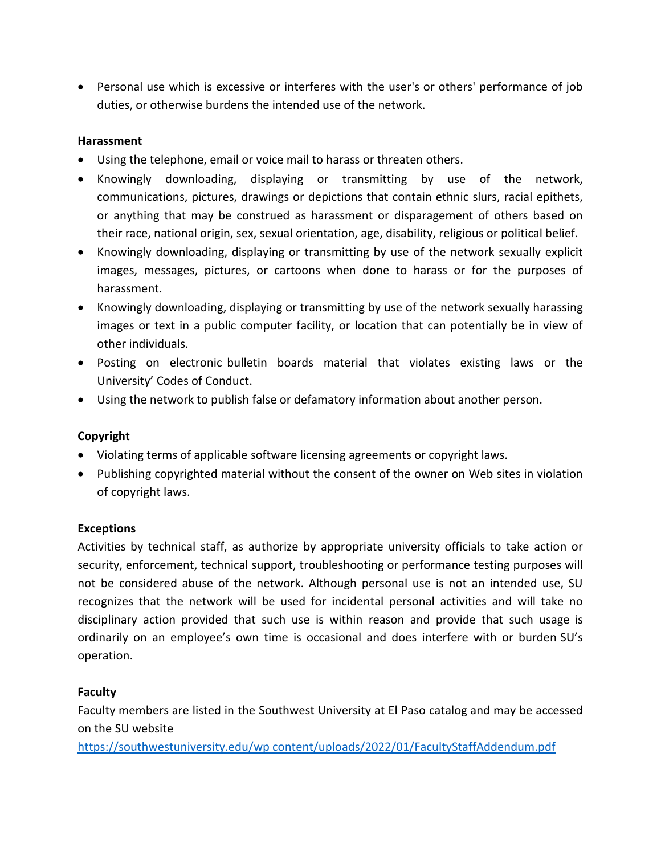• Personal use which is excessive or interferes with the user's or others' performance of job duties, or otherwise burdens the intended use of the network.

### **Harassment**

- Using the telephone, email or voice mail to harass or threaten others.
- Knowingly downloading, displaying or transmitting by use of the network, communications, pictures, drawings or depictions that contain ethnic slurs, racial epithets, or anything that may be construed as harassment or disparagement of others based on their race, national origin, sex, sexual orientation, age, disability, religious or political belief.
- Knowingly downloading, displaying or transmitting by use of the network sexually explicit images, messages, pictures, or cartoons when done to harass or for the purposes of harassment.
- Knowingly downloading, displaying or transmitting by use of the network sexually harassing images or text in a public computer facility, or location that can potentially be in view of other individuals.
- Posting on electronic bulletin boards material that violates existing laws or the University' Codes of Conduct.
- Using the network to publish false or defamatory information about another person.

### **Copyright**

- Violating terms of applicable software licensing agreements or copyright laws.
- Publishing copyrighted material without the consent of the owner on Web sites in violation of copyright laws.

### **Exceptions**

Activities by technical staff, as authorize by appropriate university officials to take action or security, enforcement, technical support, troubleshooting or performance testing purposes will not be considered abuse of the network. Although personal use is not an intended use, SU recognizes that the network will be used for incidental personal activities and will take no disciplinary action provided that such use is within reason and provide that such usage is ordinarily on an employee's own time is occasional and does interfere with or burden SU's operation.

### **Faculty**

Faculty members are listed in the Southwest University at El Paso catalog and may be accessed on the SU website

[https://southwestuniversity.edu/wp content/uploads/2022/01/FacultyStaffAddendum.pdf](https://southwestuniversity.edu/wp%20content/uploads/2022/01/FacultyStaffAddendum.pdf)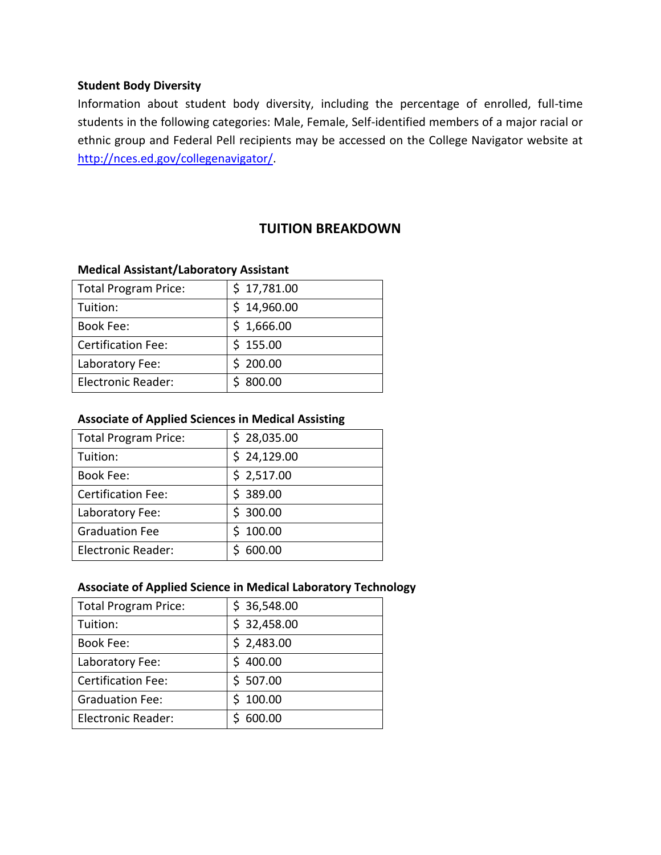#### **Student Body Diversity**

Information about student body diversity, including the percentage of enrolled, full-time students in the following categories: Male, Female, Self-identified members of a major racial or ethnic group and Federal Pell recipients may be accessed on the College Navigator website at [http://nces.ed.gov/collegenavigator/.](http://nces.ed.gov/collegenavigator/)

## **TUITION BREAKDOWN**

#### **Medical Assistant/Laboratory Assistant**

| <b>Total Program Price:</b> | \$17,781.00 |
|-----------------------------|-------------|
| Tuition:                    | \$14,960.00 |
| Book Fee:                   | \$1,666.00  |
| <b>Certification Fee:</b>   | \$155.00    |
| Laboratory Fee:             | \$200.00    |
| <b>Electronic Reader:</b>   | \$800.00    |

#### **Associate of Applied Sciences in Medical Assisting**

| <b>Total Program Price:</b> | \$28,035.00 |
|-----------------------------|-------------|
| Tuition:                    | \$24,129.00 |
| <b>Book Fee:</b>            | \$2,517.00  |
| <b>Certification Fee:</b>   | \$389.00    |
| Laboratory Fee:             | \$300.00    |
| <b>Graduation Fee</b>       | \$100.00    |
| <b>Electronic Reader:</b>   | 600.00      |

#### **Associate of Applied Science in Medical Laboratory Technology**

| <b>Total Program Price:</b> | \$36,548.00 |
|-----------------------------|-------------|
| Tuition:                    | \$32,458.00 |
| <b>Book Fee:</b>            | \$2,483.00  |
| Laboratory Fee:             | \$400.00    |
| <b>Certification Fee:</b>   | \$507.00    |
| <b>Graduation Fee:</b>      | \$100.00    |
| <b>Electronic Reader:</b>   | 600.00      |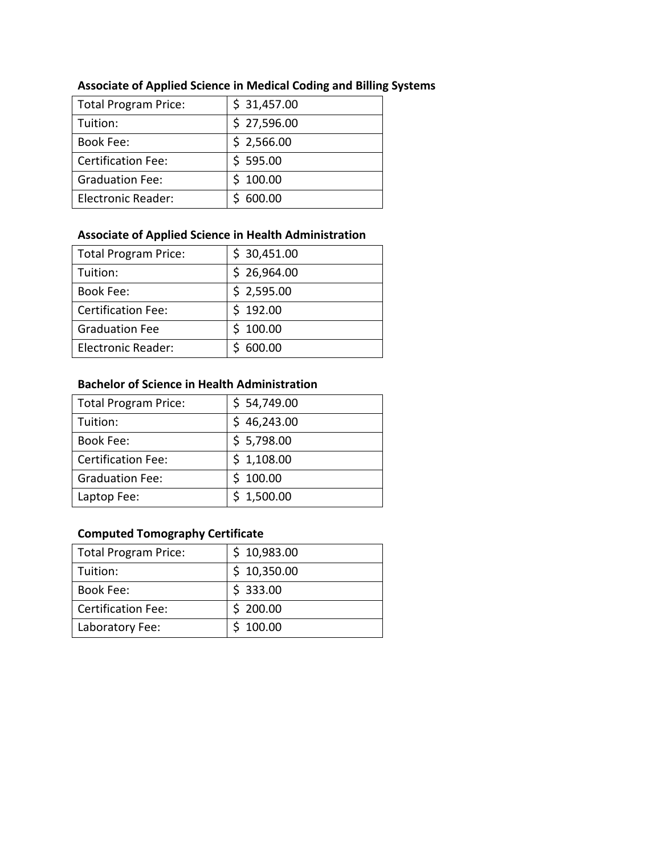| <b>Total Program Price:</b> | \$31,457.00 |
|-----------------------------|-------------|
| Tuition:                    | \$27,596.00 |
| <b>Book Fee:</b>            | \$2,566.00  |
| <b>Certification Fee:</b>   | \$595.00    |
| <b>Graduation Fee:</b>      | \$100.00    |
| <b>Electronic Reader:</b>   | 600.00      |

## **Associate of Applied Science in Medical Coding and Billing Systems**

## **Associate of Applied Science in Health Administration**

| <b>Total Program Price:</b> | \$30,451.00 |
|-----------------------------|-------------|
| Tuition:                    | \$26,964.00 |
| <b>Book Fee:</b>            | \$2,595.00  |
| <b>Certification Fee:</b>   | \$192.00    |
| <b>Graduation Fee</b>       | \$100.00    |
| <b>Electronic Reader:</b>   | 600.00      |

### **Bachelor of Science in Health Administration**

| <b>Total Program Price:</b> | \$54,749.00 |
|-----------------------------|-------------|
| Tuition:                    | \$46,243.00 |
| <b>Book Fee:</b>            | \$5,798.00  |
| <b>Certification Fee:</b>   | \$1,108.00  |
| <b>Graduation Fee:</b>      | \$100.00    |
| Laptop Fee:                 | \$1,500.00  |

## **Computed Tomography Certificate**

| <b>Total Program Price:</b> | \$10,983.00 |
|-----------------------------|-------------|
| Tuition:                    | \$10,350.00 |
| <b>Book Fee:</b>            | \$333.00    |
| <b>Certification Fee:</b>   | \$200.00    |
| Laboratory Fee:             | \$100.00    |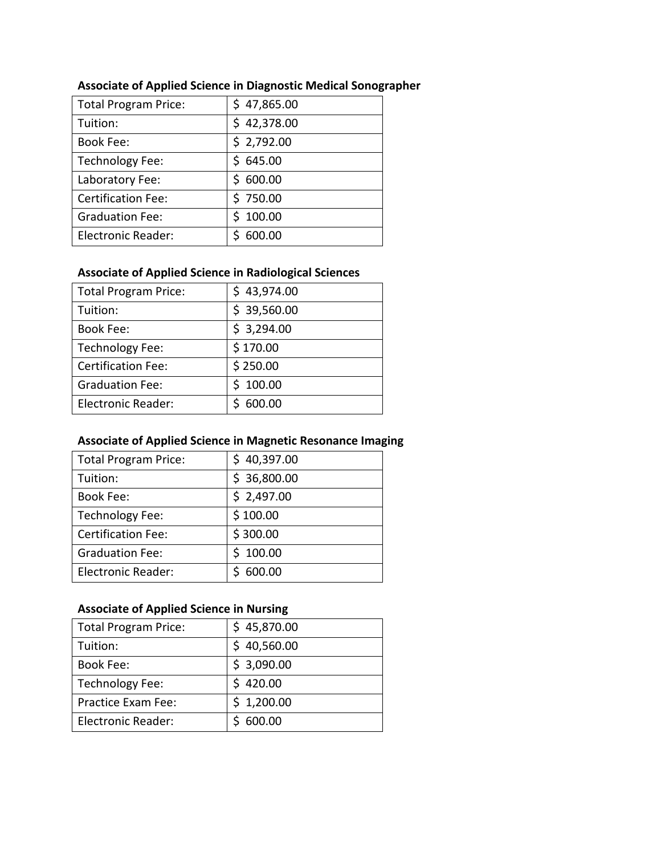| <b>Total Program Price:</b> | \$47,865.00 |
|-----------------------------|-------------|
| Tuition:                    | \$42,378.00 |
| <b>Book Fee:</b>            | \$2,792.00  |
| Technology Fee:             | \$645.00    |
| Laboratory Fee:             | \$600.00    |
| <b>Certification Fee:</b>   | \$750.00    |
| <b>Graduation Fee:</b>      | \$100.00    |
| <b>Electronic Reader:</b>   | 600.00      |

## **Associate of Applied Science in Diagnostic Medical Sonographer**

### **Associate of Applied Science in Radiological Sciences**

| <b>Total Program Price:</b> | \$43,974.00 |
|-----------------------------|-------------|
| Tuition:                    | \$39,560.00 |
| <b>Book Fee:</b>            | \$3,294.00  |
| Technology Fee:             | \$170.00    |
| <b>Certification Fee:</b>   | \$250.00    |
| <b>Graduation Fee:</b>      | \$100.00    |
| <b>Electronic Reader:</b>   | 600.00      |

## **Associate of Applied Science in Magnetic Resonance Imaging**

| <b>Total Program Price:</b> | \$40,397.00 |
|-----------------------------|-------------|
| Tuition:                    | \$36,800.00 |
| <b>Book Fee:</b>            | \$2,497.00  |
| Technology Fee:             | \$100.00    |
| <b>Certification Fee:</b>   | \$300.00    |
| <b>Graduation Fee:</b>      | \$100.00    |
| <b>Electronic Reader:</b>   | 600.00      |

## **Associate of Applied Science in Nursing**

| <b>Total Program Price:</b> | \$45,870.00 |
|-----------------------------|-------------|
| Tuition:                    | \$40,560.00 |
| <b>Book Fee:</b>            | \$3,090.00  |
| Technology Fee:             | \$420.00    |
| Practice Exam Fee:          | \$1,200.00  |
| <b>Electronic Reader:</b>   | \$600.00    |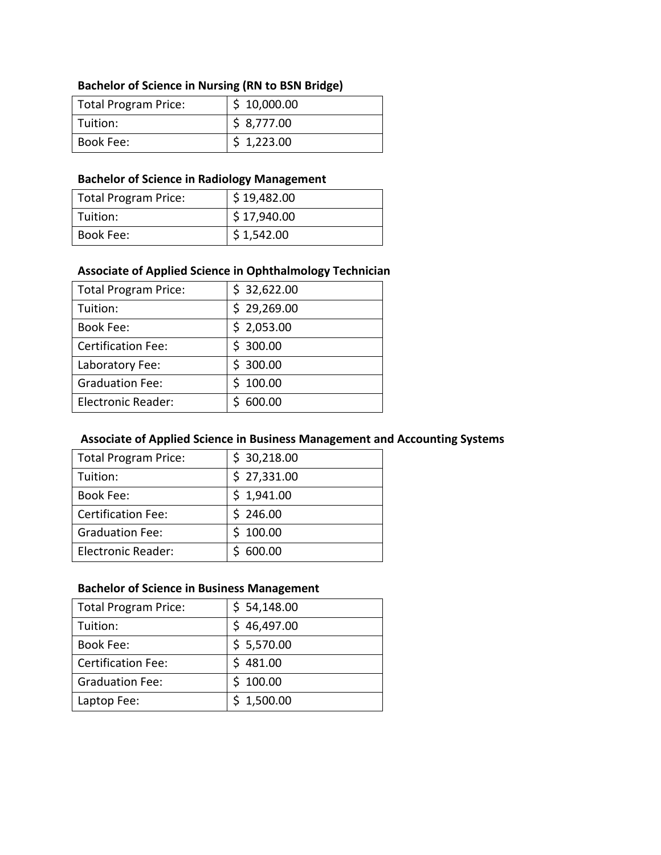## **Bachelor of Science in Nursing (RN to BSN Bridge)**

| Total Program Price: | \$10,000.00 |
|----------------------|-------------|
| Tuition:             | \$8,777.00  |
| Book Fee:            | \$1,223.00  |

### **Bachelor of Science in Radiology Management**

| Total Program Price: | \$19,482.00 |
|----------------------|-------------|
| l Tuition:           | \$17,940.00 |
| Book Fee:            | \$1,542.00  |

### **Associate of Applied Science in Ophthalmology Technician**

| <b>Total Program Price:</b> | \$32,622.00 |
|-----------------------------|-------------|
| Tuition:                    | \$29,269.00 |
| <b>Book Fee:</b>            | \$2,053.00  |
| <b>Certification Fee:</b>   | \$300.00    |
| Laboratory Fee:             | \$300.00    |
| <b>Graduation Fee:</b>      | \$100.00    |
| <b>Electronic Reader:</b>   | 600.00      |

## **Associate of Applied Science in Business Management and Accounting Systems**

| <b>Total Program Price:</b> | \$30,218.00 |
|-----------------------------|-------------|
| Tuition:                    | \$27,331.00 |
| <b>Book Fee:</b>            | \$1,941.00  |
| <b>Certification Fee:</b>   | \$246.00    |
| <b>Graduation Fee:</b>      | \$100.00    |
| <b>Electronic Reader:</b>   | 600.00      |

## **Bachelor of Science in Business Management**

| <b>Total Program Price:</b> | \$54,148.00 |
|-----------------------------|-------------|
| Tuition:                    | \$46,497.00 |
| <b>Book Fee:</b>            | \$5,570.00  |
| <b>Certification Fee:</b>   | \$481.00    |
| <b>Graduation Fee:</b>      | \$100.00    |
| Laptop Fee:                 | \$1,500.00  |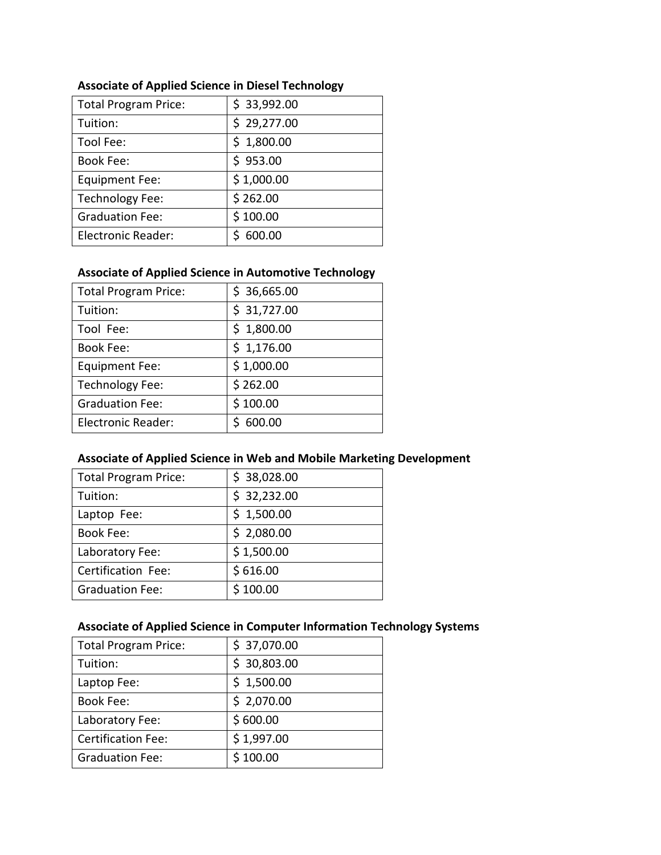| <b>Total Program Price:</b> | \$33,992.00 |
|-----------------------------|-------------|
| Tuition:                    | \$29,277.00 |
| Tool Fee:                   | \$1,800.00  |
| <b>Book Fee:</b>            | \$953.00    |
| <b>Equipment Fee:</b>       | \$1,000.00  |
| <b>Technology Fee:</b>      | \$262.00    |
| <b>Graduation Fee:</b>      | \$100.00    |
| <b>Electronic Reader:</b>   | 600.00      |

## **Associate of Applied Science in Diesel Technology**

### **Associate of Applied Science in Automotive Technology**

| <b>Total Program Price:</b> | \$36,665.00 |
|-----------------------------|-------------|
| Tuition:                    | \$31,727.00 |
| Tool Fee:                   | \$1,800.00  |
| <b>Book Fee:</b>            | \$1,176.00  |
| <b>Equipment Fee:</b>       | \$1,000.00  |
| <b>Technology Fee:</b>      | \$262.00    |
| <b>Graduation Fee:</b>      | \$100.00    |
| Electronic Reader:          | 600.00      |

### **Associate of Applied Science in Web and Mobile Marketing Development**

| <b>Total Program Price:</b> | \$38,028.00 |
|-----------------------------|-------------|
| Tuition:                    | \$32,232.00 |
| Laptop Fee:                 | \$1,500.00  |
| <b>Book Fee:</b>            | \$2,080.00  |
| Laboratory Fee:             | \$1,500.00  |
| Certification Fee:          | \$616.00    |
| <b>Graduation Fee:</b>      | \$100.00    |

## **Associate of Applied Science in Computer Information Technology Systems**

| <b>Total Program Price:</b> | \$37,070.00 |
|-----------------------------|-------------|
| Tuition:                    | \$30,803.00 |
| Laptop Fee:                 | \$1,500.00  |
| <b>Book Fee:</b>            | \$2,070.00  |
| Laboratory Fee:             | \$600.00    |
| <b>Certification Fee:</b>   | \$1,997.00  |
| <b>Graduation Fee:</b>      | \$100.00    |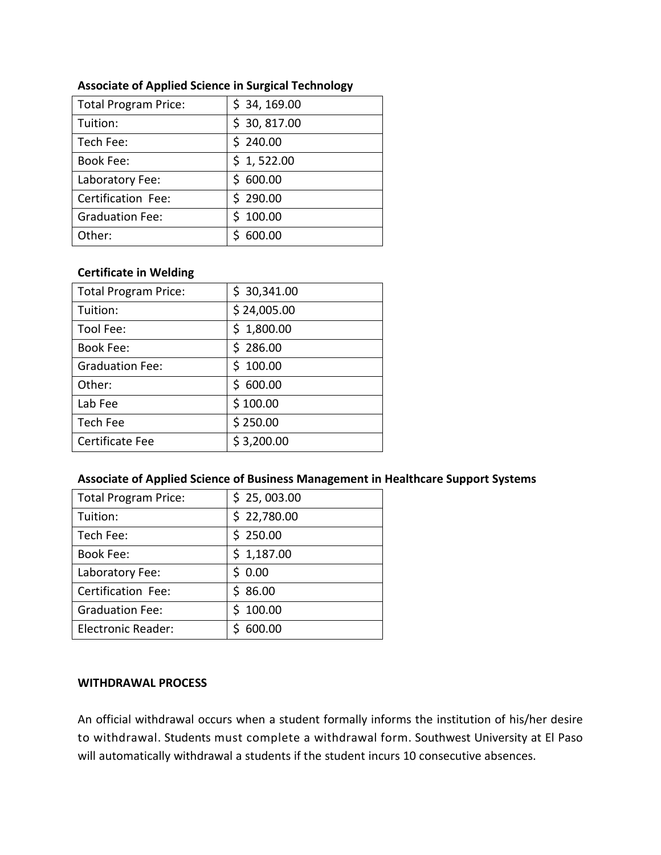| <b>Total Program Price:</b> | \$34, 169.00 |
|-----------------------------|--------------|
| Tuition:                    | \$30,817.00  |
| Tech Fee:                   | \$240.00     |
| <b>Book Fee:</b>            | \$1,522.00   |
| Laboratory Fee:             | \$600.00     |
| Certification Fee:          | \$290.00     |
| <b>Graduation Fee:</b>      | \$100.00     |
| Other:                      | 600.00       |

### **Associate of Applied Science in Surgical Technology**

#### **Certificate in Welding**

| <b>Total Program Price:</b> | \$30,341.00 |
|-----------------------------|-------------|
| Tuition:                    | \$24,005.00 |
| Tool Fee:                   | \$1,800.00  |
| <b>Book Fee:</b>            | \$286.00    |
| <b>Graduation Fee:</b>      | \$100.00    |
| Other:                      | \$600.00    |
| Lab Fee                     | \$100.00    |
| Tech Fee                    | \$250.00    |
| Certificate Fee             | \$3,200.00  |
|                             |             |

#### **Associate of Applied Science of Business Management in Healthcare Support Systems**

| \$25,003.00 |
|-------------|
| \$22,780.00 |
| \$250.00    |
| \$1,187.00  |
| \$0.00      |
| \$86.00     |
| \$100.00    |
| 600.00      |
|             |

#### **WITHDRAWAL PROCESS**

An official withdrawal occurs when a student formally informs the institution of his/her desire to withdrawal. Students must complete a withdrawal form. Southwest University at El Paso will automatically withdrawal a students if the student incurs 10 consecutive absences.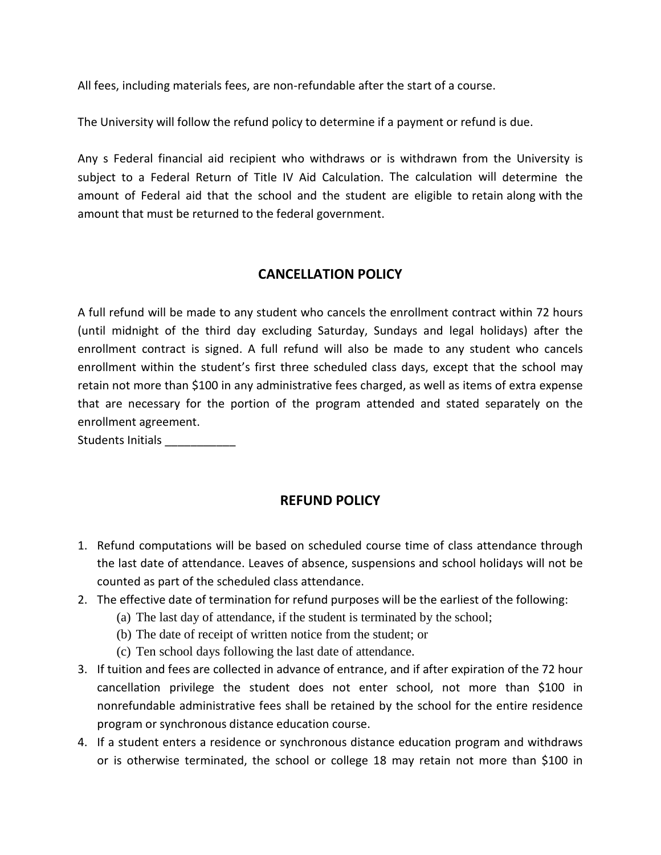All fees, including materials fees, are non-refundable after the start of a course.

The University will follow the refund policy to determine if a payment or refund is due.

Any s Federal financial aid recipient who withdraws or is withdrawn from the University is subject to a Federal Return of Title IV Aid Calculation. The calculation will determine the amount of Federal aid that the school and the student are eligible to retain along with the amount that must be returned to the federal government.

## **CANCELLATION POLICY**

A full refund will be made to any student who cancels the enrollment contract within 72 hours (until midnight of the third day excluding Saturday, Sundays and legal holidays) after the enrollment contract is signed. A full refund will also be made to any student who cancels enrollment within the student's first three scheduled class days, except that the school may retain not more than \$100 in any administrative fees charged, as well as items of extra expense that are necessary for the portion of the program attended and stated separately on the enrollment agreement.

Students Initials

## **REFUND POLICY**

- 1. Refund computations will be based on scheduled course time of class attendance through the last date of attendance. Leaves of absence, suspensions and school holidays will not be counted as part of the scheduled class attendance.
- 2. The effective date of termination for refund purposes will be the earliest of the following:
	- (a) The last day of attendance, if the student is terminated by the school;
	- (b) The date of receipt of written notice from the student; or
	- (c) Ten school days following the last date of attendance.
- 3. If tuition and fees are collected in advance of entrance, and if after expiration of the 72 hour cancellation privilege the student does not enter school, not more than \$100 in nonrefundable administrative fees shall be retained by the school for the entire residence program or synchronous distance education course.
- 4. If a student enters a residence or synchronous distance education program and withdraws or is otherwise terminated, the school or college 18 may retain not more than \$100 in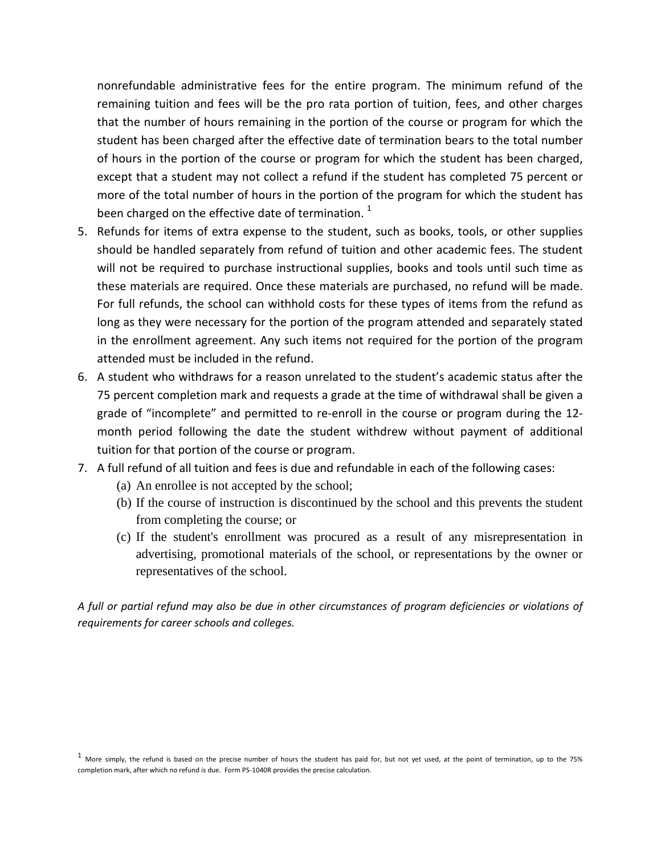nonrefundable administrative fees for the entire program. The minimum refund of the remaining tuition and fees will be the pro rata portion of tuition, fees, and other charges that the number of hours remaining in the portion of the course or program for which the student has been charged after the effective date of termination bears to the total number of hours in the portion of the course or program for which the student has been charged, except that a student may not collect a refund if the student has completed 75 percent or more of the total number of hours in the portion of the program for which the student has been charged on the effective date of termination.  $1$ 

- 5. Refunds for items of extra expense to the student, such as books, tools, or other supplies should be handled separately from refund of tuition and other academic fees. The student will not be required to purchase instructional supplies, books and tools until such time as these materials are required. Once these materials are purchased, no refund will be made. For full refunds, the school can withhold costs for these types of items from the refund as long as they were necessary for the portion of the program attended and separately stated in the enrollment agreement. Any such items not required for the portion of the program attended must be included in the refund.
- 6. A student who withdraws for a reason unrelated to the student's academic status after the 75 percent completion mark and requests a grade at the time of withdrawal shall be given a grade of "incomplete" and permitted to re-enroll in the course or program during the 12 month period following the date the student withdrew without payment of additional tuition for that portion of the course or program.
- 7. A full refund of all tuition and fees is due and refundable in each of the following cases:
	- (a) An enrollee is not accepted by the school;
	- (b) If the course of instruction is discontinued by the school and this prevents the student from completing the course; or
	- (c) If the student's enrollment was procured as a result of any misrepresentation in advertising, promotional materials of the school, or representations by the owner or representatives of the school.

*A full or partial refund may also be due in other circumstances of program deficiencies or violations of requirements for career schools and colleges.*

 $<sup>1</sup>$  More simply, the refund is based on the precise number of hours the student has paid for, but not yet used, at the point of termination, up to the 75%</sup> completion mark, after which no refund is due. Form PS-1040R provides the precise calculation.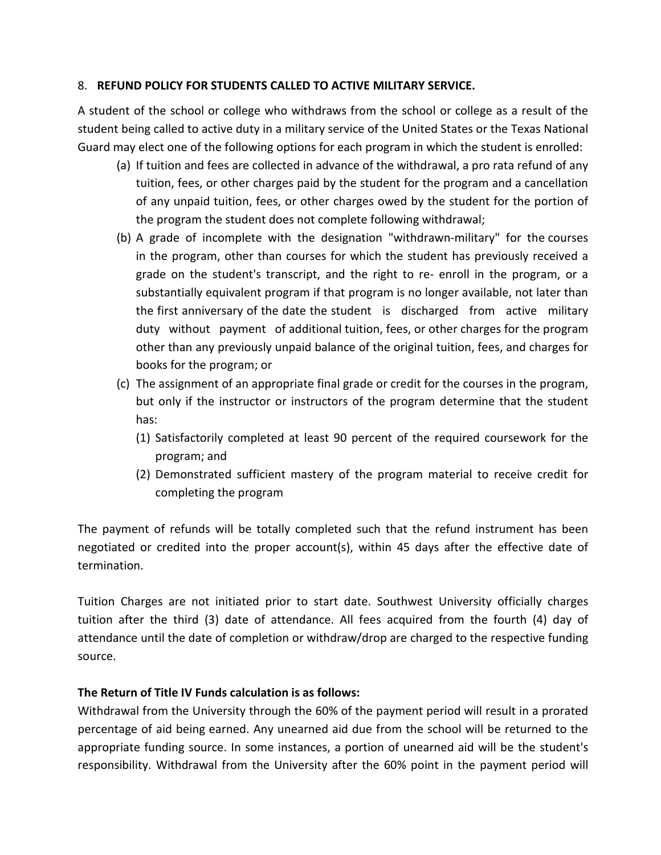### 8. **REFUND POLICY FOR STUDENTS CALLED TO ACTIVE MILITARY SERVICE.**

A student of the school or college who withdraws from the school or college as a result of the student being called to active duty in a military service of the United States or the Texas National Guard may elect one of the following options for each program in which the student is enrolled:

- (a) If tuition and fees are collected in advance of the withdrawal, a pro rata refund of any tuition, fees, or other charges paid by the student for the program and a cancellation of any unpaid tuition, fees, or other charges owed by the student for the portion of the program the student does not complete following withdrawal;
- (b) A grade of incomplete with the designation "withdrawn-military" for the courses in the program, other than courses for which the student has previously received a grade on the student's transcript, and the right to re- enroll in the program, or a substantially equivalent program if that program is no longer available, not later than the first anniversary of the date the student is discharged from active military duty without payment of additional tuition, fees, or other charges for the program other than any previously unpaid balance of the original tuition, fees, and charges for books for the program; or
- (c) The assignment of an appropriate final grade or credit for the courses in the program, but only if the instructor or instructors of the program determine that the student has:
	- (1) Satisfactorily completed at least 90 percent of the required coursework for the program; and
	- (2) Demonstrated sufficient mastery of the program material to receive credit for completing the program

The payment of refunds will be totally completed such that the refund instrument has been negotiated or credited into the proper account(s), within 45 days after the effective date of termination.

Tuition Charges are not initiated prior to start date. Southwest University officially charges tuition after the third (3) date of attendance. All fees acquired from the fourth (4) day of attendance until the date of completion or withdraw/drop are charged to the respective funding source.

#### **The Return of Title IV Funds calculation is as follows:**

Withdrawal from the University through the 60% of the payment period will result in a prorated percentage of aid being earned. Any unearned aid due from the school will be returned to the appropriate funding source. In some instances, a portion of unearned aid will be the student's responsibility. Withdrawal from the University after the 60% point in the payment period will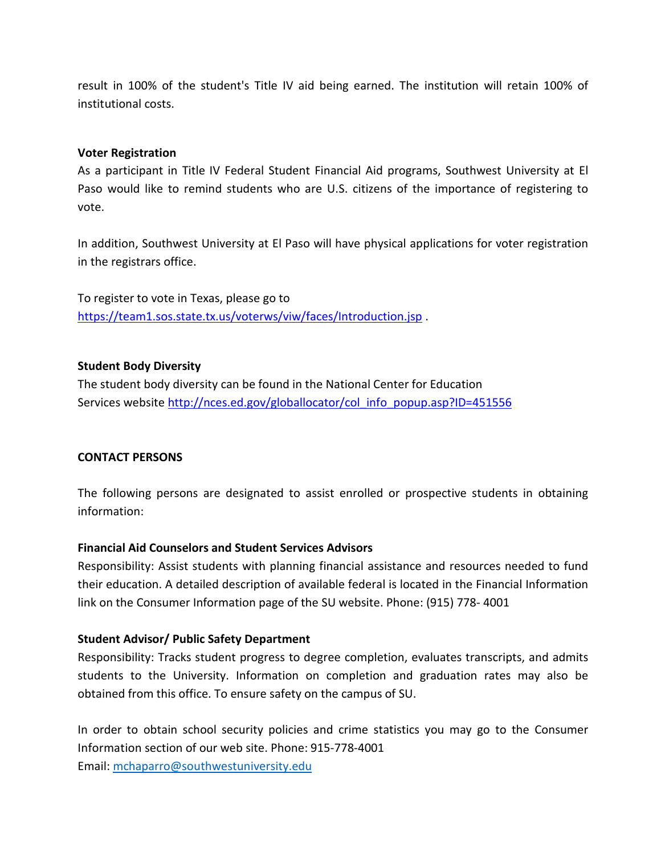result in 100% of the student's Title IV aid being earned. The institution will retain 100% of institutional costs.

#### **Voter Registration**

As a participant in Title IV Federal Student Financial Aid programs, Southwest University at El Paso would like to remind students who are U.S. citizens of the importance of registering to vote.

In addition, Southwest University at El Paso will have physical applications for voter registration in the registrars office.

To register to vote in Texas, please go to <https://team1.sos.state.tx.us/voterws/viw/faces/Introduction.jsp> .

#### **Student Body Diversity**

The student body diversity can be found in the National Center for Education Services website [http://nces.ed.gov/globallocator/col\\_info\\_popup.asp?ID=451556](http://nces.ed.gov/globallocator/col_info_popup.asp?ID=451556)

#### **CONTACT PERSONS**

The following persons are designated to assist enrolled or prospective students in obtaining information:

#### **Financial Aid Counselors and Student Services Advisors**

Responsibility: Assist students with planning financial assistance and resources needed to fund their education. A detailed description of available federal is located in the Financial Information link on the Consumer Information page of the SU website. Phone: (915) 778- 4001

#### **Student Advisor/ Public Safety Department**

Responsibility: Tracks student progress to degree completion, evaluates transcripts, and admits students to the University. Information on completion and graduation rates may also be obtained from this office. To ensure safety on the campus of SU.

In order to obtain school security policies and crime statistics you may go to the Consumer Information section of our web site. Phone: 915-778-4001 Email: [mchaparro@southwestuniversity.edu](mailto:mchaparro@southwestuniversity.edu)